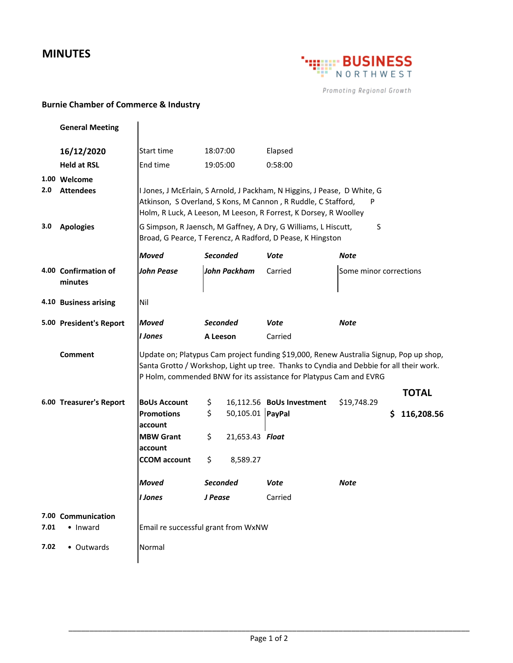## **MINUTES**



Promoting Regional Growth

## **Burnie Chamber of Commerce & Industry**

|      | <b>General Meeting</b>           |                                                                                                                                                                                                                                                         |                      |                  |                           |                        |     |              |  |  |  |
|------|----------------------------------|---------------------------------------------------------------------------------------------------------------------------------------------------------------------------------------------------------------------------------------------------------|----------------------|------------------|---------------------------|------------------------|-----|--------------|--|--|--|
|      | 16/12/2020                       | Start time                                                                                                                                                                                                                                              | 18:07:00             |                  | Elapsed                   |                        |     |              |  |  |  |
|      | <b>Held at RSL</b>               | End time                                                                                                                                                                                                                                                | 19:05:00             |                  | 0:58:00                   |                        |     |              |  |  |  |
| 2.0  | 1.00 Welcome<br><b>Attendees</b> | I Jones, J McErlain, S Arnold, J Packham, N Higgins, J Pease, D White, G<br>Atkinson, S Overland, S Kons, M Cannon, R Ruddle, C Stafford,<br>P<br>Holm, R Luck, A Leeson, M Leeson, R Forrest, K Dorsey, R Woolley                                      |                      |                  |                           |                        |     |              |  |  |  |
| 3.0  | <b>Apologies</b>                 | G Simpson, R Jaensch, M Gaffney, A Dry, G Williams, L Hiscutt,<br>S<br>Broad, G Pearce, T Ferencz, A Radford, D Pease, K Hingston                                                                                                                       |                      |                  |                           |                        |     |              |  |  |  |
|      |                                  | <b>Moved</b>                                                                                                                                                                                                                                            | <b>Seconded</b>      |                  | Vote                      | Note                   |     |              |  |  |  |
|      | 4.00 Confirmation of<br>minutes  | <b>John Pease</b>                                                                                                                                                                                                                                       | <b>John Packham</b>  |                  | Carried                   | Some minor corrections |     |              |  |  |  |
|      | 4.10 Business arising            | Nil                                                                                                                                                                                                                                                     |                      |                  |                           |                        |     |              |  |  |  |
|      | 5.00 President's Report          | <b>Moved</b>                                                                                                                                                                                                                                            | Seconded<br>A Leeson |                  | Vote                      | Note                   |     |              |  |  |  |
|      |                                  | I Jones                                                                                                                                                                                                                                                 |                      |                  | Carried                   |                        |     |              |  |  |  |
|      | Comment                          | Update on; Platypus Cam project funding \$19,000, Renew Australia Signup, Pop up shop,<br>Santa Grotto / Workshop, Light up tree. Thanks to Cyndia and Debbie for all their work.<br>P Holm, commended BNW for its assistance for Platypus Cam and EVRG |                      |                  |                           |                        |     |              |  |  |  |
|      |                                  |                                                                                                                                                                                                                                                         |                      |                  |                           |                        |     | <b>TOTAL</b> |  |  |  |
|      | 6.00 Treasurer's Report          | <b>BoUs Account</b>                                                                                                                                                                                                                                     | \$                   |                  | 16,112.56 BoUs Investment | \$19,748.29            |     |              |  |  |  |
|      |                                  | <b>Promotions</b><br>account                                                                                                                                                                                                                            | \$                   | 50,105.01 PayPal |                           |                        | \$. | 116,208.56   |  |  |  |
|      |                                  | <b>MBW Grant</b><br>account                                                                                                                                                                                                                             | \$                   | 21,653.43 Float  |                           |                        |     |              |  |  |  |
|      |                                  | <b>CCOM</b> account                                                                                                                                                                                                                                     | \$                   | 8,589.27         |                           |                        |     |              |  |  |  |
|      |                                  | <b>Moved</b>                                                                                                                                                                                                                                            | <b>Seconded</b>      |                  | Vote                      | Note                   |     |              |  |  |  |
|      |                                  | I Jones                                                                                                                                                                                                                                                 | J Pease              |                  | Carried                   |                        |     |              |  |  |  |
| 7.01 | 7.00 Communication<br>• Inward   | Email re successful grant from WxNW                                                                                                                                                                                                                     |                      |                  |                           |                        |     |              |  |  |  |
| 7.02 | • Outwards                       | Normal                                                                                                                                                                                                                                                  |                      |                  |                           |                        |     |              |  |  |  |